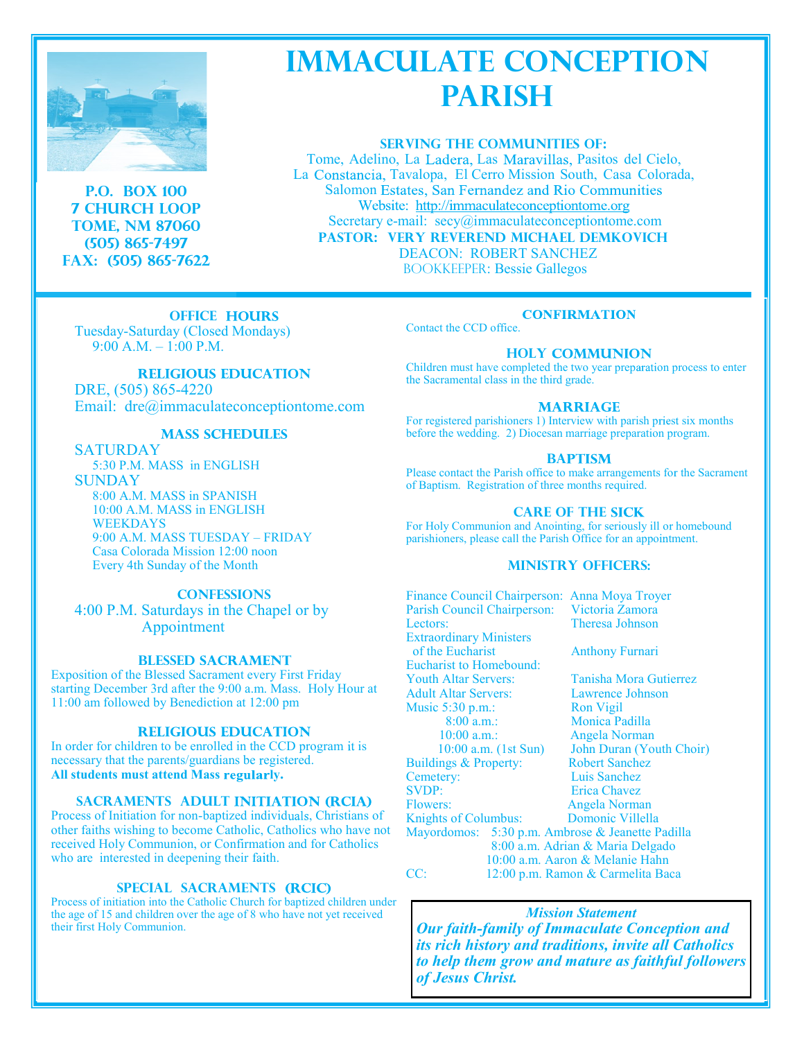

**P.O. BOX 100 7 CHURCH LOOP TOME, NM 87060 (505) 865-7497 Fax: (505) 865-7622**

# **IMMACULATE CONCEPTION PARISH**

# **SERVING THE COMMUNITIES OF:**

Tome, Adelino, La Ladera, Las Maravillas, Pasitos del Cielo, La Constancia, Tavalopa, El Cerro Mission South, Casa Colorada, Salomon Estates, San Fernandez and Rio Communities Website: http://immaculateconceptiontome.org Secretary e-mail: secy@immaculateconceptiontome.com  **PASTOR: Very reverend Michael Demkovich** DEACON: ROBERT SANCHEZ BOOKKEEPER: Bessie Gallegos

# **OFFICE HOURS** Tuesday-Saturday (Closed Mondays) 9:00 A.M. – 1:00 P.M.

# **RELIGIOUS EDUCATION**

DRE, (505) 865-4220 Email: dre@immaculateconceptiontome.com

# **MASS SCHEDULES**

SATURDAY 5:30 P.M. MASS in ENGLISH **SUNDAY** 8:00 A.M. MASS in SPANISH 10:00 A.M. MASS in ENGLISH WEEKDAYS 9:00 A.M. MASS TUESDAY – FRIDAY Casa Colorada Mission 12:00 noon Every 4th Sunday of the Month

# **CONFESSIONS**

4:00 P.M. Saturdays in the Chapel or by Appointment

# **BLESSED SACRAMENT**

Exposition of the Blessed Sacrament every First Friday starting December 3rd after the 9:00 a.m. Mass. Holy Hour at 11:00 am followed by Benediction at 12:00 pm

# **RELIGIOUS EDUCATION**

In order for children to be enrolled in the CCD program it is necessary that the parents/guardians be registered. All students must attend Mass regularly.

# **SACRAMENTS ADULT INITIATION (RCIA)**

Process of Initiation for non-baptized individuals, Christians of other faiths wishing to become Catholic, Catholics who have not received Holy Communion, or Confirmation and for Catholics who are interested in deepening their faith.

# **SPECIAL SACRAMENTS**

Process of initiation into the Catholic Church for baptized children under the age of 15 and children over the age of 8 who have not yet received their first Holy Communion.

# **CONFIRMATION**

Contact the CCD office.

# **HOLY COMMUNION**

Children must have completed the two year preparation process to enter the Sacramental class in the third grade.

# **MARRIAGE**

For registered parishioners 1) Interview with parish priest six months before the wedding. 2) Diocesan marriage preparation program.

## **BAPTISM**

Please contact the Parish office to make arrangements for the Sacrament of Baptism. Registration of three months required.

# **CARE OF THE SICK**

For Holy Communion and Anointing, for seriously ill or homebound parishioners, please call the Parish Office for an appointment.

# **MINISTRY OFFICERS:**

| Finance Council Chairperson: Anna Moya Troyer    |                                   |                                  |
|--------------------------------------------------|-----------------------------------|----------------------------------|
| Parish Council Chairperson:                      |                                   | Victoria Zamora                  |
| Lectors:                                         |                                   | <b>Theresa Johnson</b>           |
| <b>Extraordinary Ministers</b>                   |                                   |                                  |
| of the Eucharist                                 |                                   | <b>Anthony Furnari</b>           |
| <b>Eucharist to Homebound:</b>                   |                                   |                                  |
| <b>Youth Altar Servers:</b>                      |                                   | Tanisha Mora Gutierrez           |
| <b>Adult Altar Servers:</b>                      |                                   | Lawrence Johnson                 |
| Music $5:30$ p.m.:                               |                                   | <b>Ron</b> Vigil                 |
| 8:00 a.m.:                                       |                                   | Monica Padilla                   |
| $10:00$ a.m.:                                    |                                   | Angela Norman                    |
| $10:00$ a.m. $(lst Sun)$                         |                                   | John Duran (Youth Choir)         |
| Buildings & Property:                            |                                   | <b>Robert Sanchez</b>            |
| Cemetery:                                        |                                   | Luis Sanchez                     |
| <b>SVDP:</b>                                     |                                   | Erica Chavez                     |
| Flowers:                                         |                                   | Angela Norman                    |
| Knights of Columbus:                             |                                   | Domonic Villella                 |
| Mayordomos: 5:30 p.m. Ambrose & Jeanette Padilla |                                   |                                  |
|                                                  |                                   | 8:00 a.m. Adrian & Maria Delgado |
|                                                  |                                   | 10:00 a.m. Aaron & Melanie Hahn  |
| CC:                                              | 12:00 p.m. Ramon & Carmelita Baca |                                  |

*Mission Statement Our faith-family of Immaculate Conception and its rich history and traditions, invite all Catholics to help them grow and mature as faithful followers of Jesus Christ.*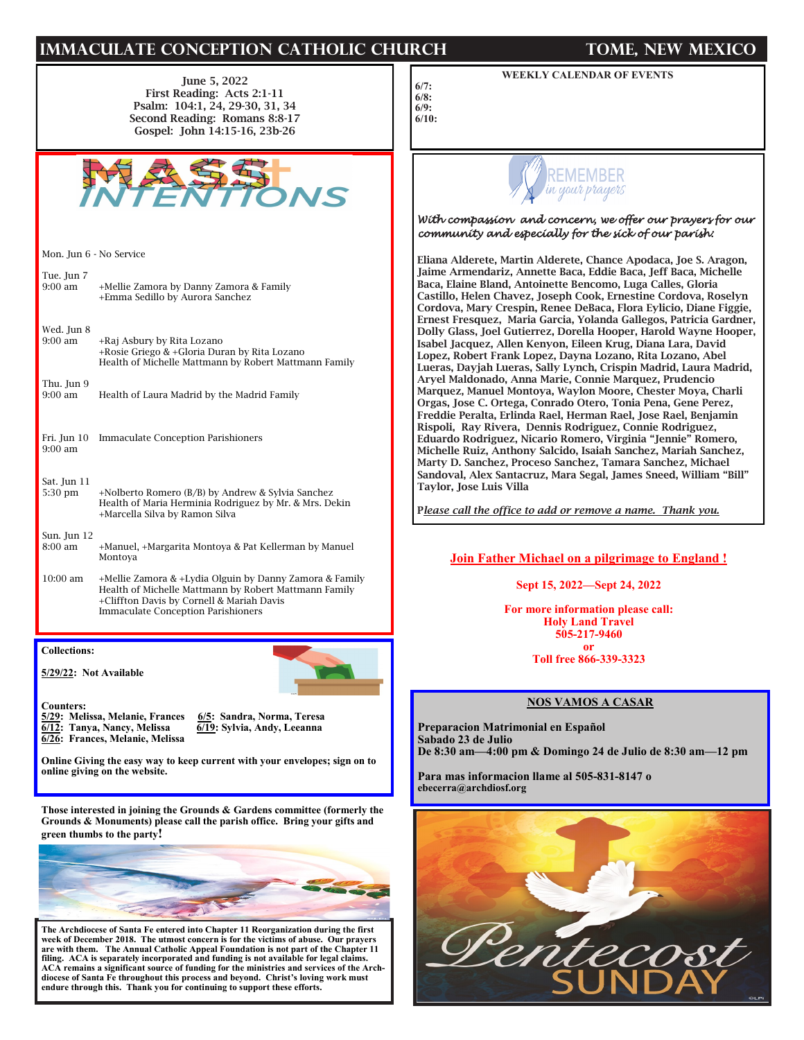# **IMMACULATE CONCEPTION CATHOLIC CHURCH TOME, NEW MEXICO**

June 5, 2022 First Reading: Acts 2:1-11 Psalm: 104:1, 24, 29-30, 31, 34 Second Reading: Romans 8:8-17 Gospel: John 14:15-16, 23b-26



Mon. Jun 6 - No Service

Tue. Jun 7<br>9:00 am +Mellie Zamora by Danny Zamora & Family +Emma Sedillo by Aurora Sanchez

| Wed. Jun 8<br>$9:00 \text{ am}$ | +Raj Asbury by Rita Lozano<br>+Rosie Griego & +Gloria Duran by Rita Lozano<br>Health of Michelle Mattmann by Robert Mattmann Family |
|---------------------------------|-------------------------------------------------------------------------------------------------------------------------------------|
| Thu. Jun 9<br>$9:00 \text{ am}$ | Health of Laura Madrid by the Madrid Family                                                                                         |
| $9:00 \text{ am}$               | Fri. Jun 10 Immaculate Conception Parishioners                                                                                      |

### Sat. Jun 11<br>5:30 pm +Nolberto Romero (B/B) by Andrew & Sylvia Sanchez Health of Maria Herminia Rodriguez by Mr. & Mrs. Dekin +Marcella Silva by Ramon Silva

### Sun. Jun 12 8:00 am +Manuel, +Margarita Montoya & Pat Kellerman by Manuel Montoya

10:00 am +Mellie Zamora & +Lydia Olguin by Danny Zamora & Family Health of Michelle Mattmann by Robert Mattmann Family +Cliffton Davis by Cornell & Mariah Davis Immaculate Conception Parishioners

**Collections:** 

**5/29/22: Not Available**

**Counters: 5/29: Melissa, Melanie, Frances 6/5: Sandra, Norma, Teresa 6/12:** Tanya, Nancy, Melissa **6/26: Frances, Melanie, Melissa** 

**Online Giving the easy way to keep current with your envelopes; sign on to online giving on the website.**

**Those interested in joining the Grounds & Gardens committee (formerly the Grounds & Monuments) please call the parish office. Bring your gifts and green thumbs to the party!**



**The Archdiocese of Santa Fe entered into Chapter 11 Reorganization during the first week of December 2018. The utmost concern is for the victims of abuse. Our prayers are with them. The Annual Catholic Appeal Foundation is not part of the Chapter 11 filing. ACA is separately incorporated and funding is not available for legal claims. ACA remains a significant source of funding for the ministries and services of the Archdiocese of Santa Fe throughout this process and beyond. Christ's loving work must endure through this. Thank you for continuing to support these efforts.**

# **WEEKLY CALENDAR OF EVENTS**

**6/8: 6/9: 6/10:** 

**6/7:** 



# *With compassion and concern, we offer our prayers for our community and especially for the sick of our parish:*

Eliana Alderete, Martin Alderete, Chance Apodaca, Joe S. Aragon, Jaime Armendariz, Annette Baca, Eddie Baca, Jeff Baca, Michelle Baca, Elaine Bland, Antoinette Bencomo, Luga Calles, Gloria Castillo, Helen Chavez, Joseph Cook, Ernestine Cordova, Roselyn Cordova, Mary Crespin, Renee DeBaca, Flora Eylicio, Diane Figgie, Ernest Fresquez, Maria Garcia, Yolanda Gallegos, Patricia Gardner, Dolly Glass, Joel Gutierrez, Dorella Hooper, Harold Wayne Hooper, Isabel Jacquez, Allen Kenyon, Eileen Krug, Diana Lara, David Lopez, Robert Frank Lopez, Dayna Lozano, Rita Lozano, Abel Lueras, Dayjah Lueras, Sally Lynch, Crispin Madrid, Laura Madrid, Aryel Maldonado, Anna Marie, Connie Marquez, Prudencio Marquez, Manuel Montoya, Waylon Moore, Chester Moya, Charli Orgas, Jose C. Ortega, Conrado Otero, Tonia Pena, Gene Perez, Freddie Peralta, Erlinda Rael, Herman Rael, Jose Rael, Benjamin Rispoli, Ray Rivera, Dennis Rodriguez, Connie Rodriguez, Eduardo Rodriguez, Nicario Romero, Virginia "Jennie" Romero, Michelle Ruiz, Anthony Salcido, Isaiah Sanchez, Mariah Sanchez, Marty D. Sanchez, Proceso Sanchez, Tamara Sanchez, Michael Sandoval, Alex Santacruz, Mara Segal, James Sneed, William "Bill" Taylor, Jose Luis Villa

P*lease call the office to add or remove a name. Thank you.*

# **Join Father Michael on a pilgrimage to England !**

**Sept 15, 2022—Sept 24, 2022**

**For more information please call: Holy Land Travel 505-217-9460**

> **or Toll free 866-339-3323**

# **NOS VAMOS A CASAR**

**Preparacion Matrimonial en Español Sabado 23 de Julio De 8:30 am—4:00 pm & Domingo 24 de Julio de 8:30 am—12 pm**

**Para mas informacion llame al 505-831-8147 o ebecerra@archdiosf.org**